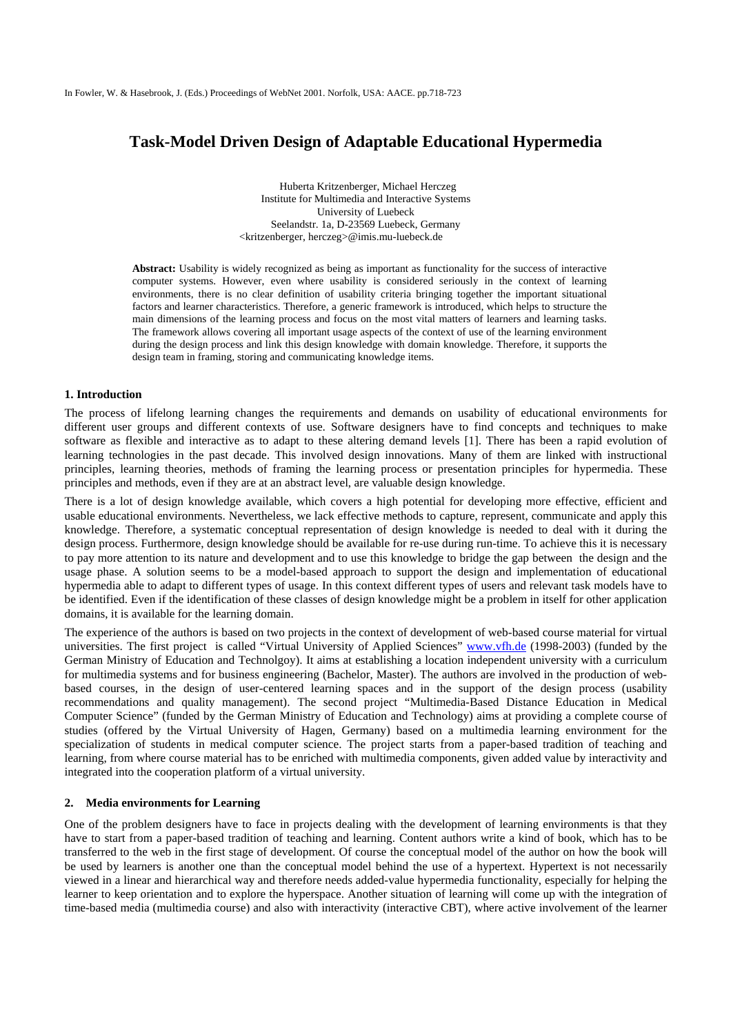# **Task-Model Driven Design of Adaptable Educational Hypermedia**

Huberta Kritzenberger, Michael Herczeg Institute for Multimedia and Interactive Systems University of Luebeck Seelandstr. 1a, D-23569 Luebeck, Germany <kritzenberger, herczeg>@imis.mu-luebeck.de

**Abstract:** Usability is widely recognized as being as important as functionality for the success of interactive computer systems. However, even where usability is considered seriously in the context of learning environments, there is no clear definition of usability criteria bringing together the important situational factors and learner characteristics. Therefore, a generic framework is introduced, which helps to structure the main dimensions of the learning process and focus on the most vital matters of learners and learning tasks. The framework allows covering all important usage aspects of the context of use of the learning environment during the design process and link this design knowledge with domain knowledge. Therefore, it supports the design team in framing, storing and communicating knowledge items.

# **1. Introduction**

The process of lifelong learning changes the requirements and demands on usability of educational environments for different user groups and different contexts of use. Software designers have to find concepts and techniques to make software as flexible and interactive as to adapt to these altering demand levels [1]. There has been a rapid evolution of learning technologies in the past decade. This involved design innovations. Many of them are linked with instructional principles, learning theories, methods of framing the learning process or presentation principles for hypermedia. These principles and methods, even if they are at an abstract level, are valuable design knowledge.

There is a lot of design knowledge available, which covers a high potential for developing more effective, efficient and usable educational environments. Nevertheless, we lack effective methods to capture, represent, communicate and apply this knowledge. Therefore, a systematic conceptual representation of design knowledge is needed to deal with it during the design process. Furthermore, design knowledge should be available for re-use during run-time. To achieve this it is necessary to pay more attention to its nature and development and to use this knowledge to bridge the gap between the design and the usage phase. A solution seems to be a model-based approach to support the design and implementation of educational hypermedia able to adapt to different types of usage. In this context different types of users and relevant task models have to be identified. Even if the identification of these classes of design knowledge might be a problem in itself for other application domains, it is available for the learning domain.

The experience of the authors is based on two projects in the context of development of web-based course material for virtual universities. The first project is called "Virtual University of Applied Sciences" www.vfh.de (1998-2003) (funded by the German Ministry of Education and Technolgoy). It aims at establishing a location independent university with a curriculum for multimedia systems and for business engineering (Bachelor, Master). The authors are involved in the production of webbased courses, in the design of user-centered learning spaces and in the support of the design process (usability recommendations and quality management). The second project "Multimedia-Based Distance Education in Medical Computer Science" (funded by the German Ministry of Education and Technology) aims at providing a complete course of studies (offered by the Virtual University of Hagen, Germany) based on a multimedia learning environment for the specialization of students in medical computer science. The project starts from a paper-based tradition of teaching and learning, from where course material has to be enriched with multimedia components, given added value by interactivity and integrated into the cooperation platform of a virtual university.

# **2. Media environments for Learning**

One of the problem designers have to face in projects dealing with the development of learning environments is that they have to start from a paper-based tradition of teaching and learning. Content authors write a kind of book, which has to be transferred to the web in the first stage of development. Of course the conceptual model of the author on how the book will be used by learners is another one than the conceptual model behind the use of a hypertext. Hypertext is not necessarily viewed in a linear and hierarchical way and therefore needs added-value hypermedia functionality, especially for helping the learner to keep orientation and to explore the hyperspace. Another situation of learning will come up with the integration of time-based media (multimedia course) and also with interactivity (interactive CBT), where active involvement of the learner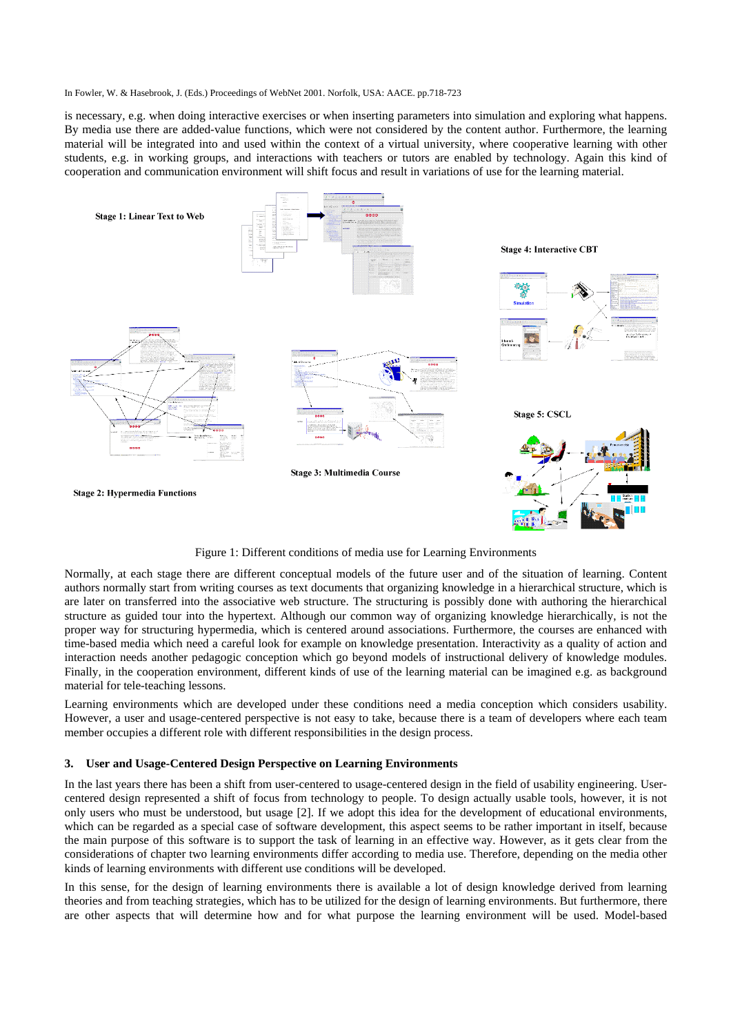is necessary, e.g. when doing interactive exercises or when inserting parameters into simulation and exploring what happens. By media use there are added-value functions, which were not considered by the content author. Furthermore, the learning material will be integrated into and used within the context of a virtual university, where cooperative learning with other students, e.g. in working groups, and interactions with teachers or tutors are enabled by technology. Again this kind of cooperation and communication environment will shift focus and result in variations of use for the learning material.



Figure 1: Different conditions of media use for Learning Environments

Normally, at each stage there are different conceptual models of the future user and of the situation of learning. Content authors normally start from writing courses as text documents that organizing knowledge in a hierarchical structure, which is are later on transferred into the associative web structure. The structuring is possibly done with authoring the hierarchical structure as guided tour into the hypertext. Although our common way of organizing knowledge hierarchically, is not the proper way for structuring hypermedia, which is centered around associations. Furthermore, the courses are enhanced with time-based media which need a careful look for example on knowledge presentation. Interactivity as a quality of action and interaction needs another pedagogic conception which go beyond models of instructional delivery of knowledge modules. Finally, in the cooperation environment, different kinds of use of the learning material can be imagined e.g. as background material for tele-teaching lessons.

Learning environments which are developed under these conditions need a media conception which considers usability. However, a user and usage-centered perspective is not easy to take, because there is a team of developers where each team member occupies a different role with different responsibilities in the design process.

# **3. User and Usage-Centered Design Perspective on Learning Environments**

In the last years there has been a shift from user-centered to usage-centered design in the field of usability engineering. Usercentered design represented a shift of focus from technology to people. To design actually usable tools, however, it is not only users who must be understood, but usage [2]. If we adopt this idea for the development of educational environments, which can be regarded as a special case of software development, this aspect seems to be rather important in itself, because the main purpose of this software is to support the task of learning in an effective way. However, as it gets clear from the considerations of chapter two learning environments differ according to media use. Therefore, depending on the media other kinds of learning environments with different use conditions will be developed.

In this sense, for the design of learning environments there is available a lot of design knowledge derived from learning theories and from teaching strategies, which has to be utilized for the design of learning environments. But furthermore, there are other aspects that will determine how and for what purpose the learning environment will be used. Model-based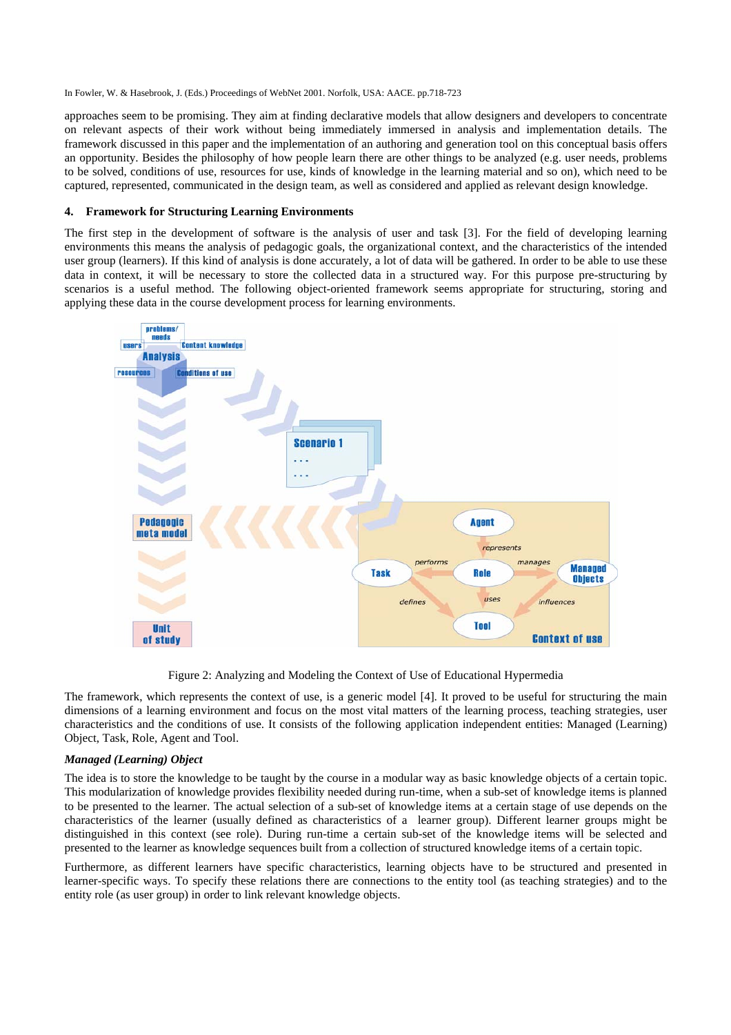approaches seem to be promising. They aim at finding declarative models that allow designers and developers to concentrate on relevant aspects of their work without being immediately immersed in analysis and implementation details. The framework discussed in this paper and the implementation of an authoring and generation tool on this conceptual basis offers an opportunity. Besides the philosophy of how people learn there are other things to be analyzed (e.g. user needs, problems to be solved, conditions of use, resources for use, kinds of knowledge in the learning material and so on), which need to be captured, represented, communicated in the design team, as well as considered and applied as relevant design knowledge.

# **4. Framework for Structuring Learning Environments**

The first step in the development of software is the analysis of user and task [3]. For the field of developing learning environments this means the analysis of pedagogic goals, the organizational context, and the characteristics of the intended user group (learners). If this kind of analysis is done accurately, a lot of data will be gathered. In order to be able to use these data in context, it will be necessary to store the collected data in a structured way. For this purpose pre-structuring by scenarios is a useful method. The following object-oriented framework seems appropriate for structuring, storing and applying these data in the course development process for learning environments.



Figure 2: Analyzing and Modeling the Context of Use of Educational Hypermedia

The framework, which represents the context of use, is a generic model [4]. It proved to be useful for structuring the main dimensions of a learning environment and focus on the most vital matters of the learning process, teaching strategies, user characteristics and the conditions of use. It consists of the following application independent entities: Managed (Learning) Object, Task, Role, Agent and Tool.

# *Managed (Learning) Object*

The idea is to store the knowledge to be taught by the course in a modular way as basic knowledge objects of a certain topic. This modularization of knowledge provides flexibility needed during run-time, when a sub-set of knowledge items is planned to be presented to the learner. The actual selection of a sub-set of knowledge items at a certain stage of use depends on the characteristics of the learner (usually defined as characteristics of a learner group). Different learner groups might be distinguished in this context (see role). During run-time a certain sub-set of the knowledge items will be selected and presented to the learner as knowledge sequences built from a collection of structured knowledge items of a certain topic.

Furthermore, as different learners have specific characteristics, learning objects have to be structured and presented in learner-specific ways. To specify these relations there are connections to the entity tool (as teaching strategies) and to the entity role (as user group) in order to link relevant knowledge objects.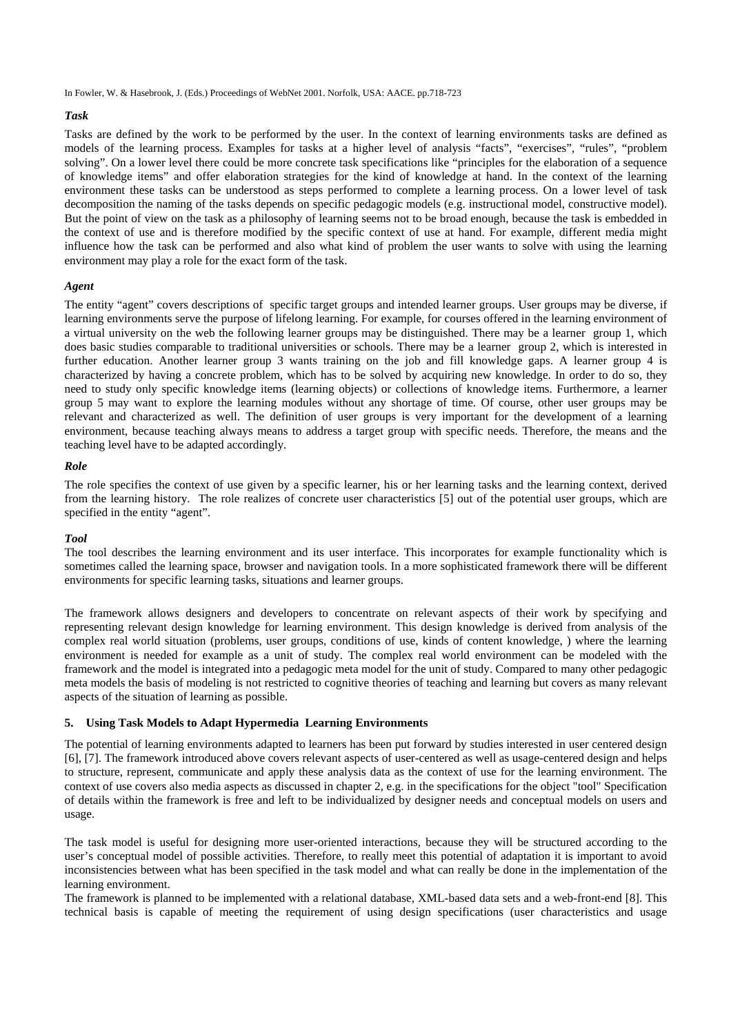# *Task*

Tasks are defined by the work to be performed by the user. In the context of learning environments tasks are defined as models of the learning process. Examples for tasks at a higher level of analysis "facts", "exercises", "rules", "problem solving". On a lower level there could be more concrete task specifications like "principles for the elaboration of a sequence of knowledge items" and offer elaboration strategies for the kind of knowledge at hand. In the context of the learning environment these tasks can be understood as steps performed to complete a learning process. On a lower level of task decomposition the naming of the tasks depends on specific pedagogic models (e.g. instructional model, constructive model). But the point of view on the task as a philosophy of learning seems not to be broad enough, because the task is embedded in the context of use and is therefore modified by the specific context of use at hand. For example, different media might influence how the task can be performed and also what kind of problem the user wants to solve with using the learning environment may play a role for the exact form of the task.

#### *Agent*

The entity "agent" covers descriptions of specific target groups and intended learner groups. User groups may be diverse, if learning environments serve the purpose of lifelong learning. For example, for courses offered in the learning environment of a virtual university on the web the following learner groups may be distinguished. There may be a learner group 1, which does basic studies comparable to traditional universities or schools. There may be a learner group 2, which is interested in further education. Another learner group 3 wants training on the job and fill knowledge gaps. A learner group 4 is characterized by having a concrete problem, which has to be solved by acquiring new knowledge. In order to do so, they need to study only specific knowledge items (learning objects) or collections of knowledge items. Furthermore, a learner group 5 may want to explore the learning modules without any shortage of time. Of course, other user groups may be relevant and characterized as well. The definition of user groups is very important for the development of a learning environment, because teaching always means to address a target group with specific needs. Therefore, the means and the teaching level have to be adapted accordingly.

# *Role*

The role specifies the context of use given by a specific learner, his or her learning tasks and the learning context, derived from the learning history. The role realizes of concrete user characteristics [5] out of the potential user groups, which are specified in the entity "agent".

# *Tool*

The tool describes the learning environment and its user interface. This incorporates for example functionality which is sometimes called the learning space, browser and navigation tools. In a more sophisticated framework there will be different environments for specific learning tasks, situations and learner groups.

The framework allows designers and developers to concentrate on relevant aspects of their work by specifying and representing relevant design knowledge for learning environment. This design knowledge is derived from analysis of the complex real world situation (problems, user groups, conditions of use, kinds of content knowledge, ) where the learning environment is needed for example as a unit of study. The complex real world environment can be modeled with the framework and the model is integrated into a pedagogic meta model for the unit of study. Compared to many other pedagogic meta models the basis of modeling is not restricted to cognitive theories of teaching and learning but covers as many relevant aspects of the situation of learning as possible.

# **5. Using Task Models to Adapt Hypermedia Learning Environments**

The potential of learning environments adapted to learners has been put forward by studies interested in user centered design [6], [7]. The framework introduced above covers relevant aspects of user-centered as well as usage-centered design and helps to structure, represent, communicate and apply these analysis data as the context of use for the learning environment. The context of use covers also media aspects as discussed in chapter 2, e.g. in the specifications for the object "tool" Specification of details within the framework is free and left to be individualized by designer needs and conceptual models on users and usage.

The task model is useful for designing more user-oriented interactions, because they will be structured according to the user's conceptual model of possible activities. Therefore, to really meet this potential of adaptation it is important to avoid inconsistencies between what has been specified in the task model and what can really be done in the implementation of the learning environment.

The framework is planned to be implemented with a relational database, XML-based data sets and a web-front-end [8]. This technical basis is capable of meeting the requirement of using design specifications (user characteristics and usage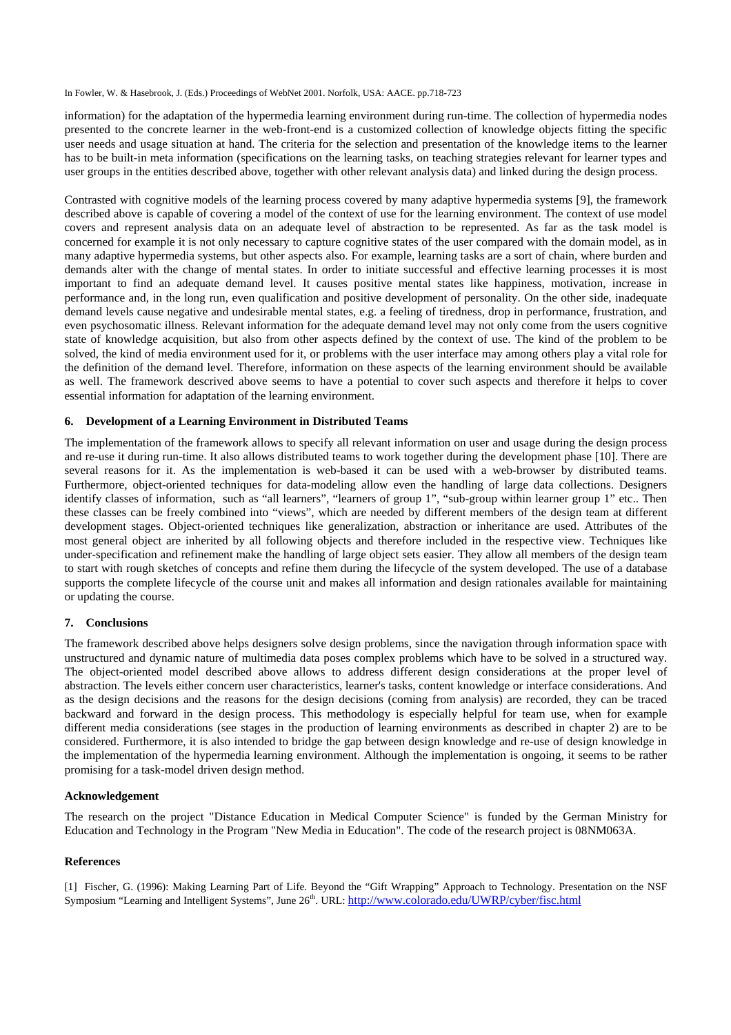information) for the adaptation of the hypermedia learning environment during run-time. The collection of hypermedia nodes presented to the concrete learner in the web-front-end is a customized collection of knowledge objects fitting the specific user needs and usage situation at hand. The criteria for the selection and presentation of the knowledge items to the learner has to be built-in meta information (specifications on the learning tasks, on teaching strategies relevant for learner types and user groups in the entities described above, together with other relevant analysis data) and linked during the design process.

Contrasted with cognitive models of the learning process covered by many adaptive hypermedia systems [9], the framework described above is capable of covering a model of the context of use for the learning environment. The context of use model covers and represent analysis data on an adequate level of abstraction to be represented. As far as the task model is concerned for example it is not only necessary to capture cognitive states of the user compared with the domain model, as in many adaptive hypermedia systems, but other aspects also. For example, learning tasks are a sort of chain, where burden and demands alter with the change of mental states. In order to initiate successful and effective learning processes it is most important to find an adequate demand level. It causes positive mental states like happiness, motivation, increase in performance and, in the long run, even qualification and positive development of personality. On the other side, inadequate demand levels cause negative and undesirable mental states, e.g. a feeling of tiredness, drop in performance, frustration, and even psychosomatic illness. Relevant information for the adequate demand level may not only come from the users cognitive state of knowledge acquisition, but also from other aspects defined by the context of use. The kind of the problem to be solved, the kind of media environment used for it, or problems with the user interface may among others play a vital role for the definition of the demand level. Therefore, information on these aspects of the learning environment should be available as well. The framework descrived above seems to have a potential to cover such aspects and therefore it helps to cover essential information for adaptation of the learning environment.

# **6. Development of a Learning Environment in Distributed Teams**

The implementation of the framework allows to specify all relevant information on user and usage during the design process and re-use it during run-time. It also allows distributed teams to work together during the development phase [10]. There are several reasons for it. As the implementation is web-based it can be used with a web-browser by distributed teams. Furthermore, object-oriented techniques for data-modeling allow even the handling of large data collections. Designers identify classes of information, such as "all learners", "learners of group 1", "sub-group within learner group 1" etc.. Then these classes can be freely combined into "views", which are needed by different members of the design team at different development stages. Object-oriented techniques like generalization, abstraction or inheritance are used. Attributes of the most general object are inherited by all following objects and therefore included in the respective view. Techniques like under-specification and refinement make the handling of large object sets easier. They allow all members of the design team to start with rough sketches of concepts and refine them during the lifecycle of the system developed. The use of a database supports the complete lifecycle of the course unit and makes all information and design rationales available for maintaining or updating the course.

# **7. Conclusions**

The framework described above helps designers solve design problems, since the navigation through information space with unstructured and dynamic nature of multimedia data poses complex problems which have to be solved in a structured way. The object-oriented model described above allows to address different design considerations at the proper level of abstraction. The levels either concern user characteristics, learner's tasks, content knowledge or interface considerations. And as the design decisions and the reasons for the design decisions (coming from analysis) are recorded, they can be traced backward and forward in the design process. This methodology is especially helpful for team use, when for example different media considerations (see stages in the production of learning environments as described in chapter 2) are to be considered. Furthermore, it is also intended to bridge the gap between design knowledge and re-use of design knowledge in the implementation of the hypermedia learning environment. Although the implementation is ongoing, it seems to be rather promising for a task-model driven design method.

#### **Acknowledgement**

The research on the project "Distance Education in Medical Computer Science" is funded by the German Ministry for Education and Technology in the Program "New Media in Education". The code of the research project is 08NM063A.

#### **References**

[1] Fischer, G. (1996): Making Learning Part of Life. Beyond the "Gift Wrapping" Approach to Technology. Presentation on the NSF Symposium "Learning and Intelligent Systems", June 26<sup>th</sup>. URL: http://www.colorado.edu/UWRP/cyber/fisc.html